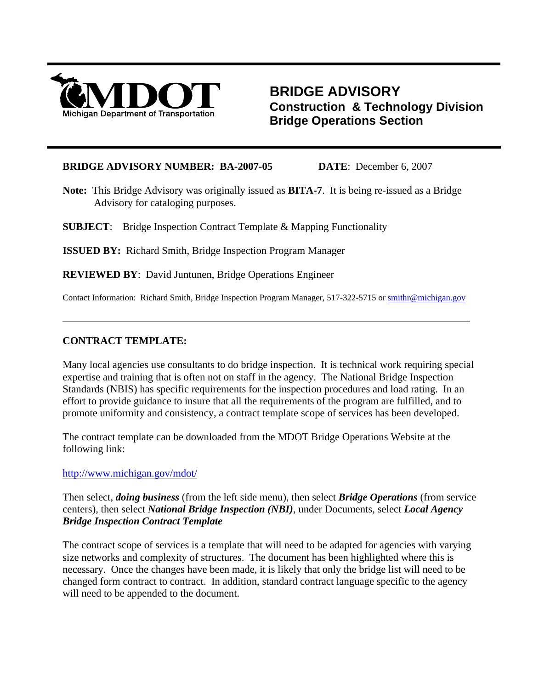

# **BRIDGE ADVISORY Construction & Technology Division Bridge Operations Section**

#### **BRIDGE ADVISORY NUMBER: BA-2007-05 DATE**:December 6, 2007

**Note:** This Bridge Advisory was originally issued as **BITA-7**. It is being re-issued as a Bridge Advisory for cataloging purposes.

**SUBJECT**: Bridge Inspection Contract Template & Mapping Functionality

**ISSUED BY:** Richard Smith, Bridge Inspection Program Manager

**REVIEWED BY**: David Juntunen, Bridge Operations Engineer

Contact Information: Richard Smith, Bridge Inspection Program Manager, 517-322-5715 or [smithr@michigan.gov](mailto:smithr@michigan.gov)

## **CONTRACT TEMPLATE:**

l

Many local agencies use consultants to do bridge inspection. It is technical work requiring special expertise and training that is often not on staff in the agency. The National Bridge Inspection Standards (NBIS) has specific requirements for the inspection procedures and load rating. In an effort to provide guidance to insure that all the requirements of the program are fulfilled, and to promote uniformity and consistency, a contract template scope of services has been developed.

The contract template can be downloaded from the MDOT Bridge Operations Website at the following link:

<http://www.michigan.gov/mdot/>

Then select, *doing business* (from the left side menu), then select *Bridge Operations* (from service centers), then select *National Bridge Inspection (NBI)*, under Documents, select *Local Agency Bridge Inspection Contract Template*

The contract scope of services is a template that will need to be adapted for agencies with varying size networks and complexity of structures. The document has been highlighted where this is necessary. Once the changes have been made, it is likely that only the bridge list will need to be changed form contract to contract. In addition, standard contract language specific to the agency will need to be appended to the document.